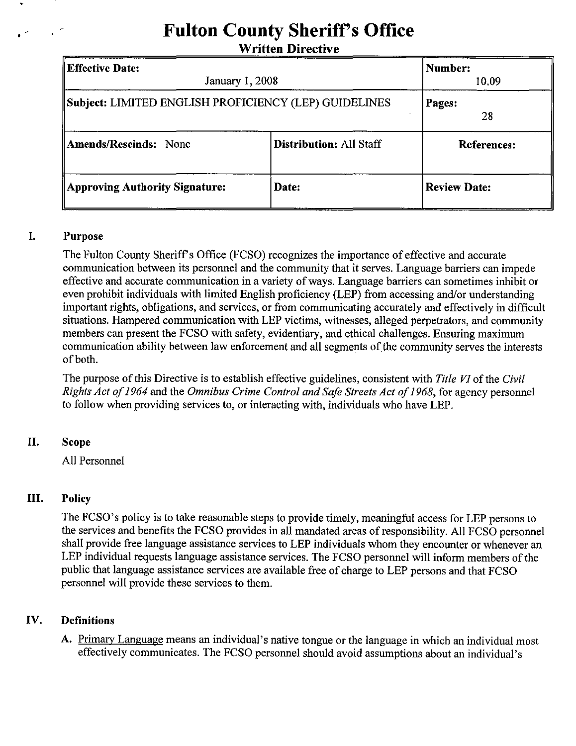# **Fulton County Sheriff's Office**

Written Directive

| <b>Effective Date:</b><br><b>January 1, 2008</b><br>Subject: LIMITED ENGLISH PROFICIENCY (LEP) GUIDELINES |       | Number:<br>10.09<br>Pages:<br>28 |
|-----------------------------------------------------------------------------------------------------------|-------|----------------------------------|
|                                                                                                           |       |                                  |
| Approving Authority Signature:                                                                            | Date: | <b>Review Date:</b>              |

# I. Purpose

The Fulton County Sheriff's Office (FCSO) recognizes the importance of effective and accurate communication between its personnel and the community that it serves. Language barriers can impede effective and accurate communication in a variety of ways. Language barriers can sometimes inhibit or even prohibit individuals with limited English proficiency (LEP) from accessing and/or understanding important rights, obligations, and services, or from communicating accurately and effectively in difficult situations. Hampered communication with LEP victims, witnesses, alleged perpetrators, and community members can present the FCSO with safety, evidentiary, and ethical challenges. Ensuring maximwn communication ability between law enforcement and all segments of the community serves the interests of both.

The purpose of this Directive is to establish effective guidelines, consistent with *Title VI* of the *Civil Rights Act of* 1964 and the *Omnibus Crime Control and Safe Streets Act of* 1968, for agency personnel to follow when providing services to, or interacting with, individuals who have LEP.

# II. Scope

All Personnel

# III. Policy

The FCSO's policy is to take reasonable steps to provide timely, meaningful access for LEP persons to the services and benefits the FCSO provides in all mandated areas of responsibility. All FCSO personnel shall provide free language assistance services to LEP individuals whom they encounter or whenever an LEP individual requests language assistance services. The FCSO personnel will inform members of the public that language assistance services are available free of charge to LEP persons and that FCSO personnel will provide these services to them.

# IV. Definitions

A. Primary Language means an individual's native tongue or the language in which an individual most effectively communicates. The FCSO personnel should avoid assumptions about an individual's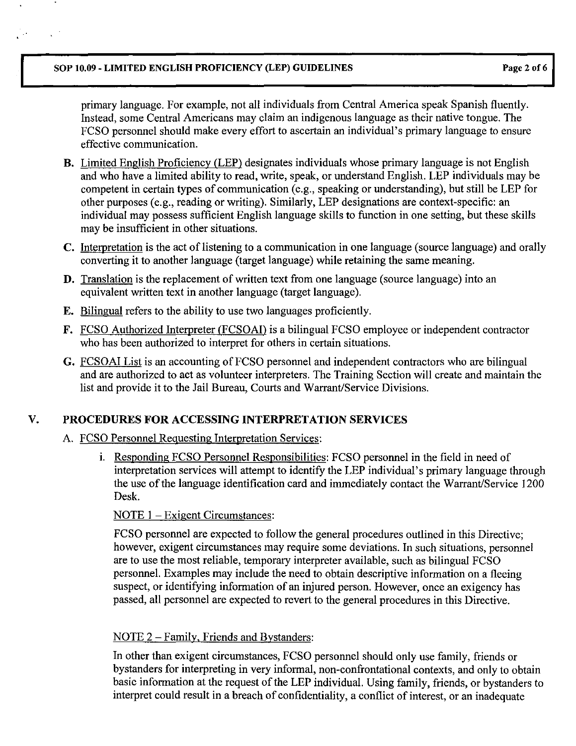#### SOP 10.09 - LIMITED ENGLISH PROFICIENCY (LEP) GUIDELINES Page 2 of 6

 $\mathcal{L}^{(1)}$ 

primary language. For example, not all individuals from Central America speak Spanish fluently. Instead, some Central Americans may claim an indigenous language as their native tongue. The FCSO personnel should make every effort to ascertain an individual's primary language to ensure effective communication.

- B. Limited English Proficiency CLEP) designates individuals whose primary language is not English and who have a limited ability to read, write, speak, or understand English. LEP individuals may be competent in certain types of communication (e.g., speaking or understanding), but still be LEP for other purposes (e.g., reading or writing). Similarly, LEP designations are context-specific: an individual may possess sufficient English language skills to function in one setting, but these skills may be insufficient in other situations.
- C. Interpretation is the act of listening to a communication in one language (source language) and orally converting it to another language (target language) while retaining the same meaning.
- D. Translation is the replacement of written text from one language (source language) into an equivalent written text in another language (target language).
- E. Bilingual refers to the ability to use two languages proficiently.
- F. FCSO Authorized Interpreter (FCSOAI) is a bilingual FCSO employee or independent contractor who has been authorized to interpret for others in certain situations.
- G. FCSOAI List is an accounting of FCSO personnel and independent contractors who are bilingual and are authorized to act as volunteer interpreters. The Training Section will create and maintain the list and provide it to the Jail Bureau, Courts and Warrant/Service Divisions.

# V. PROCEDURES FOR ACCESSING INTERPRETATION SERVICES

## A. FCSO Personnel Requesting Interpretation Services:

i. Responding FCSO Personnel Responsibilities: FCSO personnel in the field in need of interpretation services will attempt to identify the LEP individual's primary language through the use of the language identification card and immediately contact the Warrant/Service 1200 Desk.

## NOTE 1 – Exigent Circumstances:

FCSO personnel are expected to follow the general procedures outlined in this Directive; however, exigent circumstances may require some deviations. In such situations, personnel are to use the most reliable, temporary interpreter available, such as bilingual FCSO personnel. Examples may include the need to obtain descriptive information on a fleeing suspect, or identifying information of an injured person. However, once an exigency has passed, all personnel are expected to revert to the general procedures in this Directive.

## NOTE 2 – Family, Friends and Bystanders:

In other than exigent circumstances, FCSO personnel should only use family, friends or bystanders for interpreting in very informal, non-confrontational contexts, and only to obtain basic information at the request of the LEP individual. Using family, friends, or bystanders to interpret could result in a breach of confidentiality, a conflict of interest, or an inadequate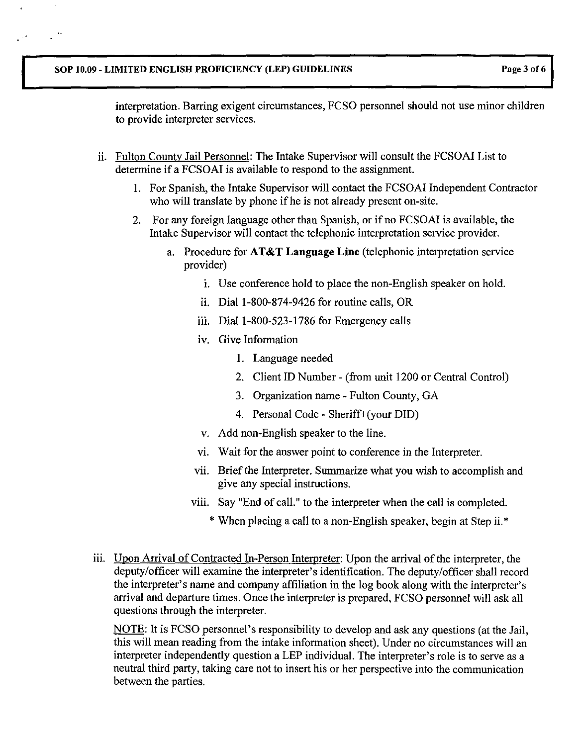$\mathbb{R}^2$ 

interpretation. Barring exigent circumstances, FCSO personnel should not use minor children to provide interpreter services.

- ii. Fulton County Jail Personnel: The Intake Supervisor will consult the FCSOAI List to determine if a FCSOAI is available to respond to the assignment.
	- I. For Spanish, the Intake Supervisor will contact the FCSOAI Independent Contractor who will translate by phone if he is not already present on-site.
	- 2. For any foreign language other than Spanish, or if no FCSOAI is available, the Intake Supervisor will contact the telephonic interpretation service provider.
		- a. Procedure for AT&T Language **Line** (telephonic interpretation service provider)
			- i. Use conference hold to place the non-English speaker on hold.
			- ii. Dial 1-800-874-9426 for routine calls, OR
			- iii. Dial 1-800-523-1786 for Emergency calls
			- iv. Give Information
				- 1. Language needed
				- 2. Client ID Number (from unit 1200 or Central Control)
				- 3. Organization name Fulton County, GA
				- 4. Personal Code Sheriff+(your DID)
			- v. Add non-English speaker to the line.
			- vi. Wait for the answer point to conference in the Interpreter.
			- vii. Brief the Interpreter. Summarize what you wish to accomplish and give any special instructions.
			- viii. Say "End of call." to the interpreter when the call is completed.
				- \* When placing a call to a non-English speaker, begin at Step ii.<sup>\*</sup>
- iii. Upon Arrival of Contracted In-Person Interpreter: Upon the arrival of the interpreter, the deputy/officer will examine the interpreter's identification. The deputy/officer shall record the interpreter's name and company affiliation in the log book along with the interpreter's arrival and departure times. Once the interpreter is prepared, FCSO personnel will ask all questions through the interpreter.

NOTE: It is FCSO personnel's responsibility to develop and ask any questions (at the Jail, this will mean reading from the intake information sheet). Under no circumstances will an interpreter independently question a LEP individual. The interpreter's role is to serve as a neutral third party, taking care not to insert his or her perspective into the communication between the parties.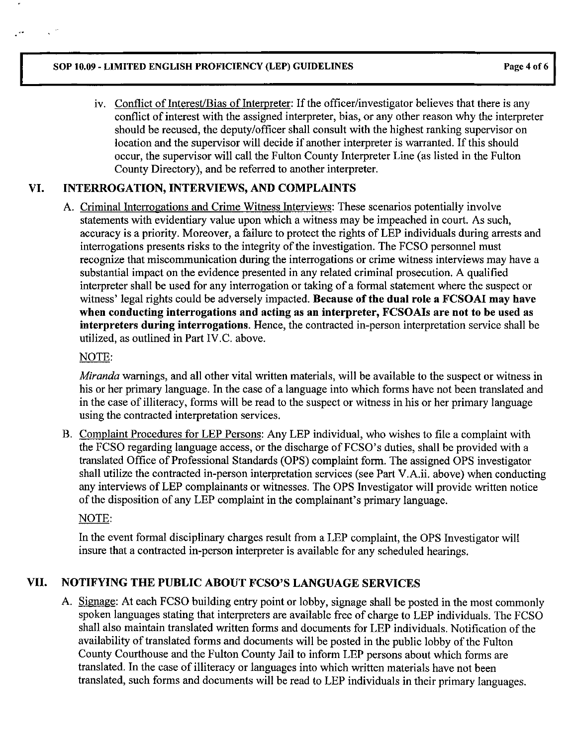#### SOP 10.09 - LIMITED ENGLISH PROFICIENCY (LEP) GUIDELINES Page 4 of 6

iv. Conflict of Interest/Bias of Interpreter: If the officer/investigator believes that there is any conflict of interest with the assigned interpreter, bias, or any other reason why the interpreter should be recused, the deputy/officer shall consult with the highest ranking supervisor on location and the supervisor will decide if another interpreter is warranted. If this should occur, the supervisor will call the Fulton County Interpreter Line (as listed in the Fulton County Directory), and be referred to another interpreter.

# VI. INTERROGATION, INTERVIEWS, AND COMPLAINTS

A. Criminal Interrogations and Crime Witness Interviews: These scenarios potentially involve statements with evidentiary value upon which a witness may be impeached in court. As such, accuracy is a priority. Moreover, a failure to protect the rights of LEP individuals during arrests and interrogations presents risks to the integrity of the investigation. The FCSO personnel must recognize that miscommunication during the interrogations or crime witness interviews may have a substantial impact on the evidence presented in any related criminal prosecution. A qualified interpreter shall be used for any interrogation or taking of a formal statement where the suspect or witness' legal rights could be adversely impacted. Because of the dual role a FCSOAI may have when conducting interrogations and acting as an interpreter, FCSOAIs are not to be used as interpreters during interrogations. Hence, the contracted in-person interpretation service shall be utilized, as outlined in Part IV.C. above.

# NOTE:

*Miranda* warnings, and all other vital written materials, will be available to the suspect or witness in his or her primary language. In the case of a language into which forms have not been translated and in the case of illiteracy, forms will be read to the suspect or witness in his or her primary language using the contracted interpretation services.

B. Complaint Procedures for LEP Persons: Any LEP individual, who wishes to file a complaint with the FCSO regarding language access, or the discharge of FCSO's duties, shall be provided with a translated Office of Professional Standards (OPS) complaint form. The assigned OPS investigator shall utilize the contracted in-person interpretation services (see Part V.A.ii. above) when conducting any interviews of LEP complainants or witnesses. The OPS Investigator will provide written notice of the disposition of any LEP complaint in the complainant's primary language.

# NOTE:

In the event formal disciplinary charges result from a LEP complaint, the OPS Investigator will insure that a contracted in-person interpreter is available for any scheduled hearings.

# VII. NOTIFYING THE PUBLIC ABOUT FCSO'S LANGUAGE SERVICES

A. Signage: At each FCSO building entry point or lobby, signage shall be posted in the most commonly spoken languages stating that interpreters are available free of charge to LEP individuals. The FCSO shall also maintain translated written forms and documents for LEP individuals. Notification of the availability of translated forms and documents will be posted in the public lobby of the Fulton County Courthouse and the Fulton County Jail to inform LEP persons about which forms are translated. In the case of illiteracy or languages into which written materials have not been translated, such forms and documents will be read to LEP individuals in their primary languages.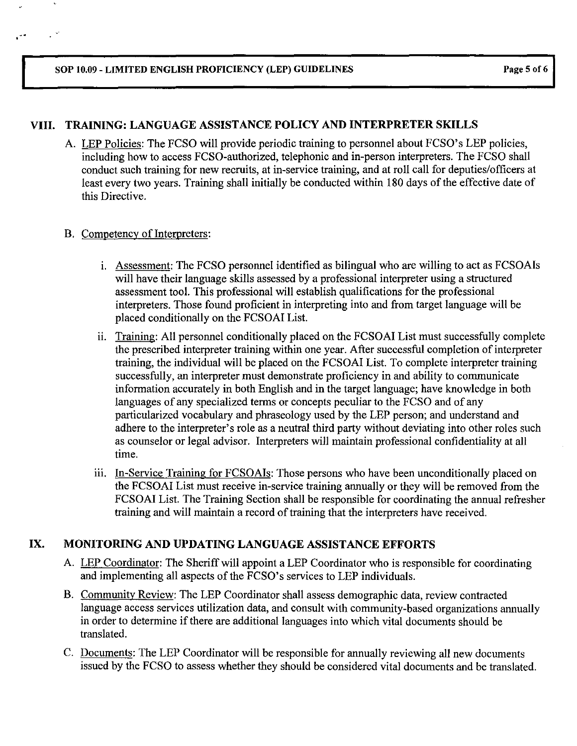## VIII- TRAINING: LANGUAGE ASSISTANCE POLICY AND INTERPRETER SKILLS

A. LEP Policies: The FCSO will provide periodic training to personnel about FCSO's LEP policies, including how to access FCSO-authorized, telephonic and in-person interpreters. The FCSO shall conduct such training for new recruits, at in-service training, and at roll call for deputies/officers at least every two years. Training shall initially be conducted within 180 days of the effective date of this Directive.

#### B. Competency of Interpreters:

- 1. Assessment: The FCSO personnel identified as bilingual who are willing to act as FCSOAIs will have their language skills assessed by a professional interpreter using a structured assessment tool. This professional will establish qualifications for the professional interpreters. Those found proficient in interpreting into and from target language will be placed conditionally on the FCSOAI List.
- ii. Training: All personnel conditionally placed on the FCSOAI List must successfully complete the prescribed interpreter training within one year. After successful completion of interpreter training, the individual will be placed on the FCSOAI List. To complete interpreter training successfully, an interpreter must demonstrate proficiency in and ability to communicate information accurately in both English and in the target language; have knowledge in both languages of any specialized terms or concepts peculiar to the FCSO and of any particularized vocabulary and phraseology used by the LEP person; and understand and adhere to the interpreter's role as a neutral third party without deviating into other roles such as counselor or legal advisor. Interpreters will maintain professional confidentiality at all time.
- 111. In-Service Training for FCSOAIs: Those persons who have been unconditionally placed on the FCSOAI List must receive in-service training annually or they will be removed from the FCSOAI List. The Training Section shall be responsible for coordinating the annual refresher training and will maintain a record of training that the interpreters have received.

## IX. MONITORING AND UPDATING LANGUAGE ASSISTANCE EFFORTS

- A. LEP Coordinator: The Sheriff will appoint a LEP Coordinator who is responsible for coordinating and implementing all aspects of the FCSO's services to LEP individuals.
- B. Community Review: The LEP Coordinator shall assess demographic data, review contracted language access services utilization data, and consult with community-based organizations annually in order to determine if there are additional languages into which vital documents should be translated.
- C. Documents: The LEP Coordinator will be responsible for annually reviewing all new documents issued by the FCSO to assess whether they should be considered vital documents and be translated.